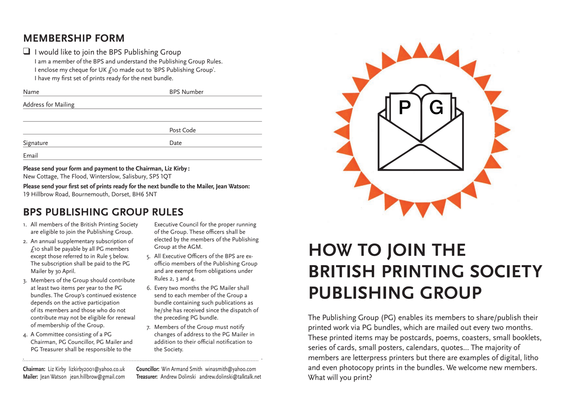### **MEMBERSHIP FORM**

#### $\Box$  I would like to join the BPS Publishing Group

I am a member of the BPS and understand the Publishing Group Rules. I enclose my cheque for UK £10 made out to 'BPS Publishing Group'. I have my first set of prints ready for the next bundle.

| Name                | <b>BPS Number</b> |
|---------------------|-------------------|
| Address for Mailing |                   |
|                     |                   |
|                     | Post Code         |
| Signature           | Date              |
| Email               |                   |

#### **Please send your form and payment to the Chairman, Liz Kirby :**

New Cottage, The Flood, Winterslow, Salisbury,

Please send your first set of prints ready for the next bundle to the Mailer, Jean Watson: 19 Hillbrow Road, Bournemouth, Dorset, BH6 5NT

### **BPS PUBLISHING GROUP RULES**

- 1. All members of the British Printing Society are eligible to join the Publishing Group.
- 2. An annual supplementary subscription of  $f$ 10 shall be payable by all PG members except those referred to in Rule 5 below. The subscription shall be paid to the PG Mailer by 30 April.
- 3. Members of the Group should contribute at least two items per year to the PG bundles. The Group's continued existence depends on the active participation of its members and those who do not contribute may not be eligible for renewal of membership of the Group.
- 4. A Committee consisting of a PG Chairman, PG Councillor, PG Mailer and PG Treasurer shall be responsible to the

Executive Council for the proper running of the Group. These officers shall be elected by the members of the Publishing Group at the AGM.

- 5. All Executive Officers of the BPS are exofficio members of the Publishing Group and are exempt from obligations under Rules 2, 3 and 4.
- 6. Every two months the PG Mailer shall send to each member of the Group a bundle containing such publications as he/she has received since the dispatch of the preceding PG bundle.
- 7. Members of the Group must notify changes of address to the PG Mailer in the Society.

**Chairman:** Liz Kirby lizkirby2001@yahoo.co.uk **Councillor:** Win Armand Smith winasmith@yahoo.com **Mailer:** Jean Watson jean.hillbrow@gmail.com **Treasurer:** Andrew Dolinski andrew.dolinski@talktalk.net



# **HOW TO JOIN THE BRITISH PRINTING SOCIETY PUBLISHING GROUP**

The Publishing Group (PG) enables its members to share/publish their printed work via PG bundles, which are mailed out every two months. These printed items may be postcards, poems, coasters, small booklets, series of cards, small posters, calendars, quotes... The majority of members are letterpress printers but there are examples of digital, litho and even photocopy prints in the bundles. We welcome new members. What will you print?